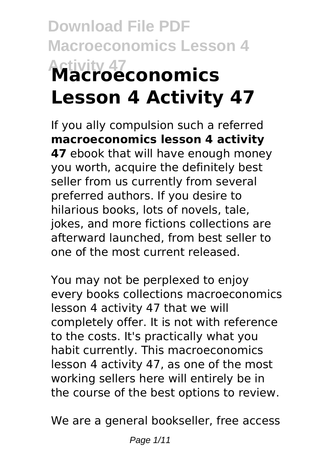# **Download File PDF Macroeconomics Lesson 4 Activity 47 Macroeconomics Lesson 4 Activity 47**

If you ally compulsion such a referred **macroeconomics lesson 4 activity 47** ebook that will have enough money you worth, acquire the definitely best seller from us currently from several preferred authors. If you desire to hilarious books, lots of novels, tale, jokes, and more fictions collections are afterward launched, from best seller to one of the most current released.

You may not be perplexed to enjoy every books collections macroeconomics lesson 4 activity 47 that we will completely offer. It is not with reference to the costs. It's practically what you habit currently. This macroeconomics lesson 4 activity 47, as one of the most working sellers here will entirely be in the course of the best options to review.

We are a general bookseller, free access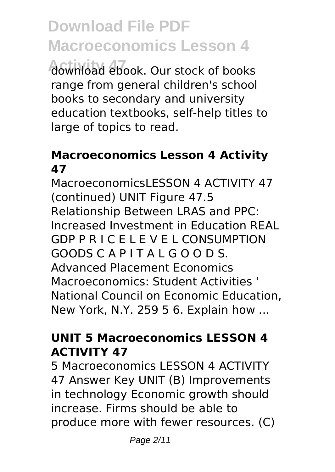**Activity 47** download ebook. Our stock of books range from general children's school books to secondary and university education textbooks, self-help titles to large of topics to read.

#### **Macroeconomics Lesson 4 Activity 47**

MacroeconomicsI ESSON 4 ACTIVITY 47 (continued) UNIT Figure 47.5 Relationship Between LRAS and PPC: Increased Investment in Education REAL GDP P R I C E L E V E L CONSUMPTION GOODS C A P I T A L G O O D S. Advanced Placement Economics Macroeconomics: Student Activities ' National Council on Economic Education, New York, N.Y. 259 5 6. Explain how ...

### **UNIT 5 Macroeconomics LESSON 4 ACTIVITY 47**

5 Macroeconomics LESSON 4 ACTIVITY 47 Answer Key UNIT (B) Improvements in technology Economic growth should increase. Firms should be able to produce more with fewer resources. (C)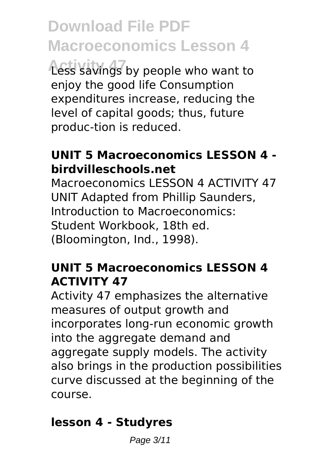**Activity 47** Less savings by people who want to enjoy the good life Consumption expenditures increase, reducing the level of capital goods; thus, future produc-tion is reduced.

### **UNIT 5 Macroeconomics LESSON 4 birdvilleschools.net**

Macroeconomics LESSON 4 ACTIVITY 47 UNIT Adapted from Phillip Saunders, Introduction to Macroeconomics: Student Workbook, 18th ed. (Bloomington, Ind., 1998).

### **UNIT 5 Macroeconomics LESSON 4 ACTIVITY 47**

Activity 47 emphasizes the alternative measures of output growth and incorporates long-run economic growth into the aggregate demand and aggregate supply models. The activity also brings in the production possibilities curve discussed at the beginning of the course.

### **lesson 4 - Studyres**

Page 3/11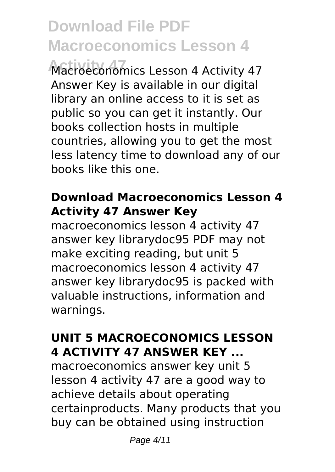**Activity 47** Macroeconomics Lesson 4 Activity 47 Answer Key is available in our digital library an online access to it is set as public so you can get it instantly. Our books collection hosts in multiple countries, allowing you to get the most less latency time to download any of our books like this one.

### **Download Macroeconomics Lesson 4 Activity 47 Answer Key**

macroeconomics lesson 4 activity 47 answer key librarydoc95 PDF may not make exciting reading, but unit 5 macroeconomics lesson 4 activity 47 answer key librarydoc95 is packed with valuable instructions, information and warnings.

### **UNIT 5 MACROECONOMICS LESSON 4 ACTIVITY 47 ANSWER KEY ...**

macroeconomics answer key unit 5 lesson 4 activity 47 are a good way to achieve details about operating certainproducts. Many products that you buy can be obtained using instruction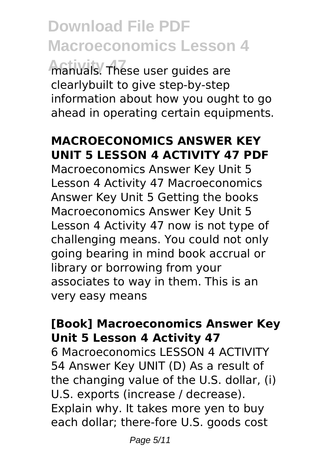manuals. These user guides are clearlybuilt to give step-by-step information about how you ought to go ahead in operating certain equipments.

### **MACROECONOMICS ANSWER KEY UNIT 5 LESSON 4 ACTIVITY 47 PDF**

Macroeconomics Answer Key Unit 5 Lesson 4 Activity 47 Macroeconomics Answer Key Unit 5 Getting the books Macroeconomics Answer Key Unit 5 Lesson 4 Activity 47 now is not type of challenging means. You could not only going bearing in mind book accrual or library or borrowing from your associates to way in them. This is an very easy means

### **[Book] Macroeconomics Answer Key Unit 5 Lesson 4 Activity 47**

6 Macroeconomics LESSON 4 ACTIVITY 54 Answer Key UNIT (D) As a result of the changing value of the U.S. dollar, (i) U.S. exports (increase / decrease). Explain why. It takes more yen to buy each dollar; there-fore U.S. goods cost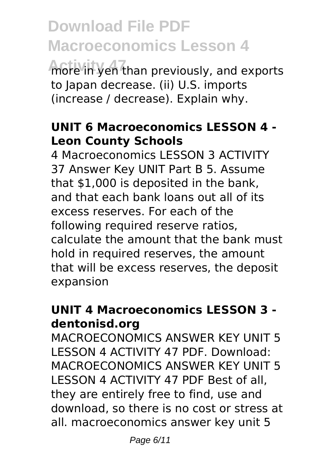**Activity 47** more in yen than previously, and exports to Japan decrease. (ii) U.S. imports (increase / decrease). Explain why.

### **UNIT 6 Macroeconomics LESSON 4 - Leon County Schools**

4 Macroeconomics LESSON 3 ACTIVITY 37 Answer Key UNIT Part B 5. Assume that \$1,000 is deposited in the bank, and that each bank loans out all of its excess reserves. For each of the following required reserve ratios, calculate the amount that the bank must hold in required reserves, the amount that will be excess reserves, the deposit expansion

### **UNIT 4 Macroeconomics LESSON 3 dentonisd.org**

MACROECONOMICS ANSWER KEY UNIT 5 LESSON 4 ACTIVITY 47 PDF. Download: MACROECONOMICS ANSWER KEY UNIT 5 LESSON 4 ACTIVITY 47 PDF Best of all, they are entirely free to find, use and download, so there is no cost or stress at all. macroeconomics answer key unit 5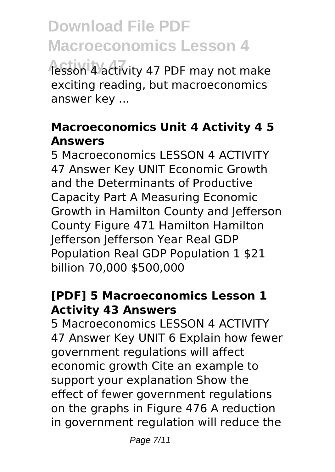**Activity 47 PDF may not make** exciting reading, but macroeconomics answer key ...

### **Macroeconomics Unit 4 Activity 4 5 Answers**

5 Macroeconomics LESSON 4 ACTIVITY 47 Answer Key UNIT Economic Growth and the Determinants of Productive Capacity Part A Measuring Economic Growth in Hamilton County and Jefferson County Figure 471 Hamilton Hamilton Jefferson Jefferson Year Real GDP Population Real GDP Population 1 \$21 billion 70,000 \$500,000

### **[PDF] 5 Macroeconomics Lesson 1 Activity 43 Answers**

5 Macroeconomics LESSON 4 ACTIVITY 47 Answer Key UNIT 6 Explain how fewer government regulations will affect economic growth Cite an example to support your explanation Show the effect of fewer government regulations on the graphs in Figure 476 A reduction in government regulation will reduce the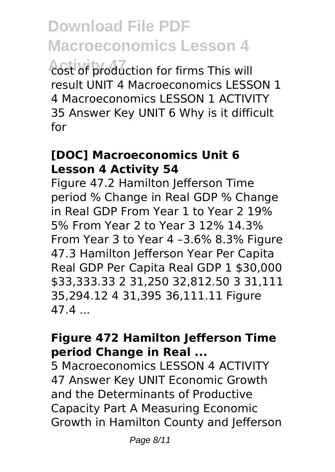*Acst of production for firms This will* result UNIT 4 Macroeconomics LESSON 1 4 Macroeconomics LESSON 1 ACTIVITY 35 Answer Key UNIT 6 Why is it difficult for

#### **[DOC] Macroeconomics Unit 6 Lesson 4 Activity 54**

Figure 47.2 Hamilton Jefferson Time period % Change in Real GDP % Change in Real GDP From Year 1 to Year 2 19% 5% From Year 2 to Year 3 12% 14.3% From Year 3 to Year 4 –3.6% 8.3% Figure 47.3 Hamilton Jefferson Year Per Capita Real GDP Per Capita Real GDP 1 \$30,000 \$33,333.33 2 31,250 32,812.50 3 31,111 35,294.12 4 31,395 36,111.11 Figure 47.4 ...

### **Figure 472 Hamilton Jefferson Time period Change in Real ...**

5 Macroeconomics LESSON 4 ACTIVITY 47 Answer Key UNIT Economic Growth and the Determinants of Productive Capacity Part A Measuring Economic Growth in Hamilton County and Jefferson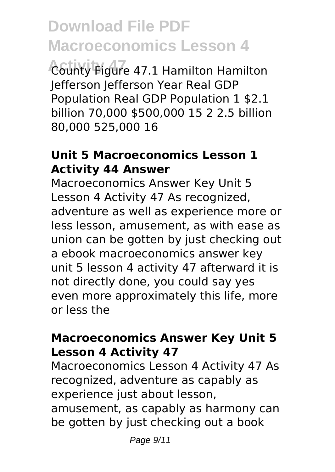**Activity 47** County Figure 47.1 Hamilton Hamilton Jefferson Jefferson Year Real GDP Population Real GDP Population 1 \$2.1 billion 70,000 \$500,000 15 2 2.5 billion 80,000 525,000 16

#### **Unit 5 Macroeconomics Lesson 1 Activity 44 Answer**

Macroeconomics Answer Key Unit 5 Lesson 4 Activity 47 As recognized, adventure as well as experience more or less lesson, amusement, as with ease as union can be gotten by just checking out a ebook macroeconomics answer key unit 5 lesson 4 activity 47 afterward it is not directly done, you could say yes even more approximately this life, more or less the

#### **Macroeconomics Answer Key Unit 5 Lesson 4 Activity 47**

Macroeconomics Lesson 4 Activity 47 As recognized, adventure as capably as experience just about lesson, amusement, as capably as harmony can be gotten by just checking out a book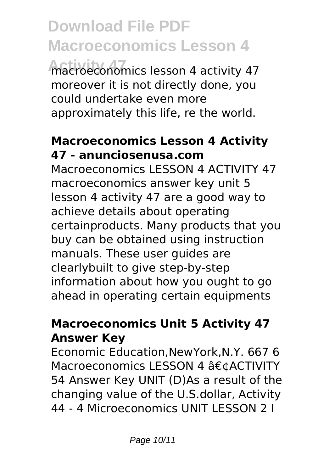**Activity 47** macroeconomics lesson 4 activity 47 moreover it is not directly done, you could undertake even more approximately this life, re the world.

### **Macroeconomics Lesson 4 Activity 47 - anunciosenusa.com**

Macroeconomics LESSON 4 ACTIVITY 47 macroeconomics answer key unit 5 lesson 4 activity 47 are a good way to achieve details about operating certainproducts. Many products that you buy can be obtained using instruction manuals. These user guides are clearlybuilt to give step-by-step information about how you ought to go ahead in operating certain equipments

### **Macroeconomics Unit 5 Activity 47 Answer Key**

Economic Education,NewYork,N.Y. 667 6 Macroeconomics LESSON 4 •ACTIVITY 54 Answer Key UNIT (D)As a result of the changing value of the U.S.dollar, Activity 44 - 4 Microeconomics UNIT LESSON 2 I